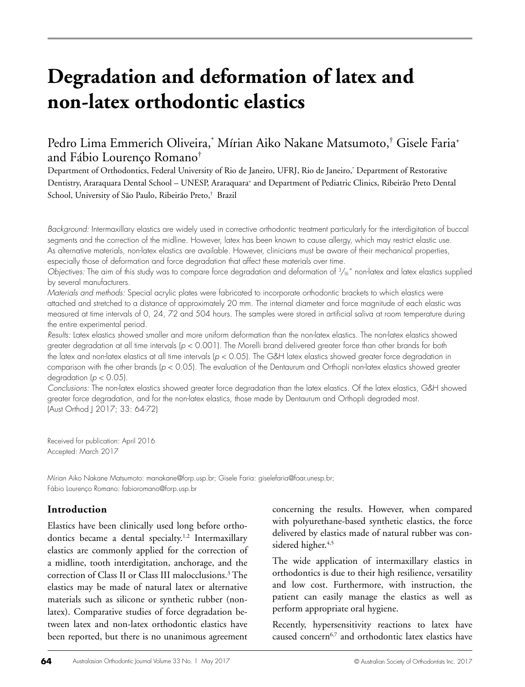# **Degradation and deformation of latex and non-latex orthodontic elastics**

# Pedro Lima Emmerich Oliveira,\* Mírian Aiko Nakane Matsumoto,† Gisele Faria+ and Fábio Lourenço Romano†

Department of Orthodontics, Federal University of Rio de Janeiro, UFRJ, Rio de Janeiro,\* Department of Restorative Dentistry, Araraquara Dental School – UNESP, Araraquara<sup>+</sup> and Department of Pediatric Clinics, Ribeirão Preto Dental School, University of São Paulo, Ribeirão Preto,† Brazil

*Background:* Intermaxillary elastics are widely used in corrective orthodontic treatment particularly for the interdigitation of buccal segments and the correction of the midline. However, latex has been known to cause allergy, which may restrict elastic use. As alternative materials, non-latex elastics are available. However, clinicians must be aware of their mechanical properties, especially those of deformation and force degradation that affect these materials over time.

*Objectives:* The aim of this study was to compare force degradation and deformation of <sup>3</sup>/<sub>16</sub>" non-latex and latex elastics supplied by several manufacturers.

*Materials and methods:* Special acrylic plates were fabricated to incorporate orthodontic brackets to which elastics were attached and stretched to a distance of approximately 20 mm. The internal diameter and force magnitude of each elastic was measured at time intervals of 0, 24, 72 and 504 hours. The samples were stored in artificial saliva at room temperature during the entire experimental period.

*Results:* Latex elastics showed smaller and more uniform deformation than the non-latex elastics. The non-latex elastics showed greater degradation at all time intervals (*p* < 0.001). The Morelli brand delivered greater force than other brands for both the latex and non-latex elastics at all time intervals (*p* < 0.05). The G&H latex elastics showed greater force degradation in comparison with the other brands (*p* < 0.05). The evaluation of the Dentaurum and Orthopli non-latex elastics showed greater degradation (*p* < 0.05).

*Conclusions:* The non-latex elastics showed greater force degradation than the latex elastics. Of the latex elastics, G&H showed greater force degradation, and for the non-latex elastics, those made by Dentaurum and Orthopli degraded most. (Aust Orthod J 2017; 33: 64-72)

Received for publication: April 2016 Accepted: March 2017

Mírian Aiko Nakane Matsumoto: manakane@forp.usp.br; Gisele Faria: giselefaria@foar.unesp.br; Fábio Lourenço Romano: fabioromano@forp.usp.br

### **Introduction**

Elastics have been clinically used long before orthodontics became a dental specialty.<sup>1,2</sup> Intermaxillary elastics are commonly applied for the correction of a midline, tooth interdigitation, anchorage, and the correction of Class II or Class III malocclusions.3 The elastics may be made of natural latex or alternative materials such as silicone or synthetic rubber (nonlatex). Comparative studies of force degradation between latex and non-latex orthodontic elastics have been reported, but there is no unanimous agreement

concerning the results. However, when compared with polyurethane-based synthetic elastics, the force delivered by elastics made of natural rubber was considered higher.<sup>4,5</sup>

The wide application of intermaxillary elastics in orthodontics is due to their high resilience, versatility and low cost. Furthermore, with instruction, the patient can easily manage the elastics as well as perform appropriate oral hygiene.

Recently, hypersensitivity reactions to latex have caused concern6,7 and orthodontic latex elastics have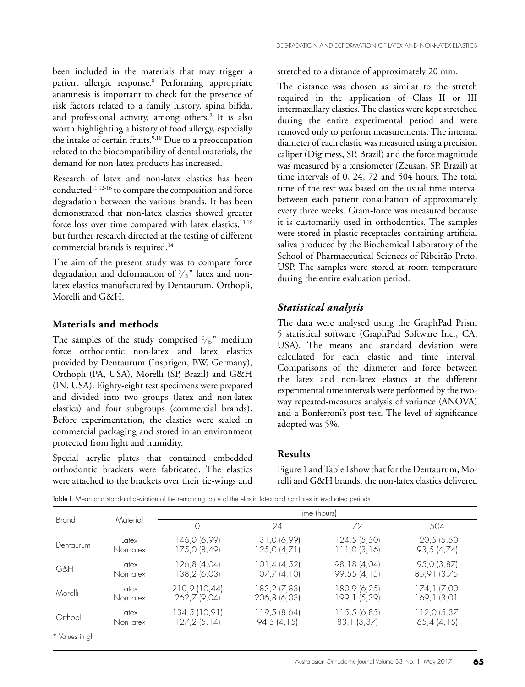been included in the materials that may trigger a patient allergic response.8 Performing appropriate anamnesis is important to check for the presence of risk factors related to a family history, spina bifida, and professional activity, among others.9 It is also worth highlighting a history of food allergy, especially the intake of certain fruits. $9,10$  Due to a preoccupation related to the biocompatibility of dental materials, the demand for non-latex products has increased.

Research of latex and non-latex elastics has been conducted<sup>11,12-16</sup> to compare the composition and force degradation between the various brands. It has been demonstrated that non-latex elastics showed greater force loss over time compared with latex elastics, $13,16$ but further research directed at the testing of different commercial brands is required.<sup>14</sup>

The aim of the present study was to compare force degradation and deformation of  $\frac{3}{6}$ " latex and nonlatex elastics manufactured by Dentaurum, Orthopli, Morelli and G&H.

#### **Materials and methods**

The samples of the study comprised  $\frac{3}{6}$ " medium force orthodontic non-latex and latex elastics provided by Dentaurum (Insprigen, BW, Germany), Orthopli (PA, USA), Morelli (SP, Brazil) and G&H (IN, USA). Eighty-eight test specimens were prepared and divided into two groups (latex and non-latex elastics) and four subgroups (commercial brands). Before experimentation, the elastics were sealed in commercial packaging and stored in an environment protected from light and humidity.

Special acrylic plates that contained embedded orthodontic brackets were fabricated. The elastics were attached to the brackets over their tie-wings and stretched to a distance of approximately 20 mm.

The distance was chosen as similar to the stretch required in the application of Class II or III intermaxillary elastics. The elastics were kept stretched during the entire experimental period and were removed only to perform measurements. The internal diameter of each elastic was measured using a precision caliper (Digimess, SP, Brazil) and the force magnitude was measured by a tensiometer (Zeusan, SP, Brazil) at time intervals of 0, 24, 72 and 504 hours. The total time of the test was based on the usual time interval between each patient consultation of approximately every three weeks. Gram-force was measured because it is customarily used in orthodontics. The samples were stored in plastic receptacles containing artificial saliva produced by the Biochemical Laboratory of the School of Pharmaceutical Sciences of Ribeirão Preto, USP. The samples were stored at room temperature during the entire evaluation period.

#### *Statistical analysis*

The data were analysed using the GraphPad Prism 5 statistical software (GraphPad Software Inc., CA, USA). The means and standard deviation were calculated for each elastic and time interval. Comparisons of the diameter and force between the latex and non-latex elastics at the different experimental time intervals were performed by the twoway repeated-measures analysis of variance (ANOVA) and a Bonferroni's post-test. The level of significance adopted was 5%.

#### **Results**

Figure 1 and Table I show that for the Dentaurum, Morelli and G&H brands, the non-latex elastics delivered

Table I. Mean and standard deviation of the remaining force of the elastic latex and non-latex in evaluated periods.

| <b>Brand</b> | Material  | Time (hours)  |               |               |               |
|--------------|-----------|---------------|---------------|---------------|---------------|
|              |           |               | 24            | 72            | 504           |
| Dentaurum    | Latex     | 146,0 (6,99)  | 131,0 (6,99)  | 124,5 (5,50)  | 120,5(5,50)   |
|              | Non-latex | 175,0 (8,49)  | 125,0(4,71)   | 111,0(3,16)   | 93,5 (4,74)   |
| G&H          | Latex     | 126,8 (4,04)  | 101, 4(4, 52) | 98,18 (4,04)  | 95,0 (3,87)   |
|              | Non-latex | 138,2 (6,03)  | 107,7(4,10)   | 99,55 (4,15)  | 85,91 (3,75)  |
| Morelli      | Latex     | 210,9 (10,44) | 183,2 (7,83)  | 180,9 (6,25)  | 174, 1 (7,00) |
|              | Non-latex | 262,7 (9,04)  | 206,8 (6,03)  | 199, 1 (5,39) | 169, 1(3, 01) |
| Orthopli     | Latex     | 134,5 (10,91) | 119,5 (8,64)  | 115,5(6,85)   | 112,0(5,37)   |
|              | Non-latex | 127, 2(5, 14) | 94,5(4,15)    | 83, 1 (3, 37) | 65,4(4,15)    |
|              |           |               |               |               |               |

\* Values in gf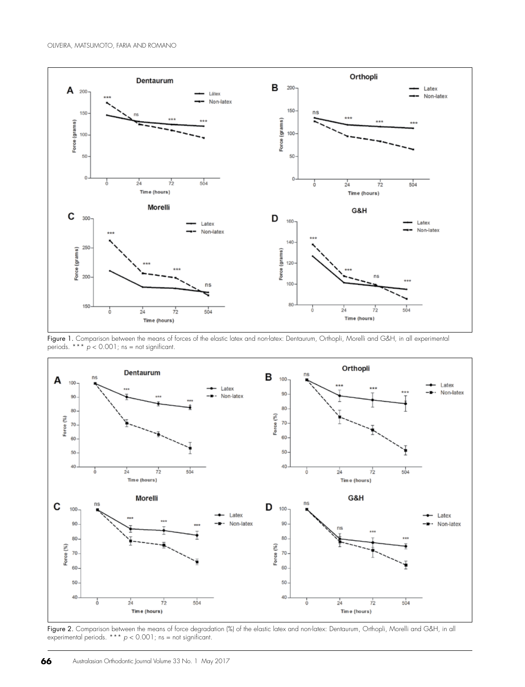

Figure 1. Comparison between the means of forces of the elastic latex and non-latex: Dentaurum, Orthopli, Morelli and G&H, in all experimental periods. \*\*\* *p* < 0.001; ns = not significant.



Figure 2. Comparison between the means of force degradation (%) of the elastic latex and non-latex: Dentaurum, Orthopli, Morelli and G&H, in all experimental periods.  $*** p < 0.001$ ; ns = not significant.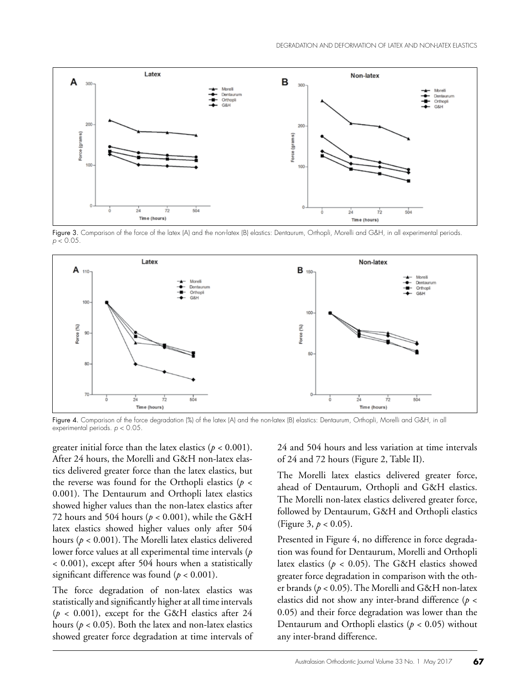

Figure 3. Comparison of the force of the latex (A) and the non-latex (B) elastics: Dentaurum, Orthopli, Morelli and G&H, in all experimental periods. *p* < 0.05.



Figure 4. Comparison of the force degradation (%) of the latex (A) and the non-latex (B) elastics: Dentaurum, Orthopli, Morelli and G&H, in all experimental periods. *p* < 0.05.

greater initial force than the latex elastics  $(p < 0.001)$ . After 24 hours, the Morelli and G&H non-latex elastics delivered greater force than the latex elastics, but the reverse was found for the Orthopli elastics ( $p <$ 0.001). The Dentaurum and Orthopli latex elastics showed higher values than the non-latex elastics after 72 hours and 504 hours ( $p < 0.001$ ), while the G&H latex elastics showed higher values only after 504 hours (*p* < 0.001). The Morelli latex elastics delivered lower force values at all experimental time intervals (*p* < 0.001), except after 504 hours when a statistically significant difference was found (*p* < 0.001).

The force degradation of non-latex elastics was statistically and significantly higher at all time intervals  $(p < 0.001)$ , except for the G&H elastics after 24 hours ( $p < 0.05$ ). Both the latex and non-latex elastics showed greater force degradation at time intervals of 24 and 504 hours and less variation at time intervals of 24 and 72 hours (Figure 2, Table II).

The Morelli latex elastics delivered greater force, ahead of Dentaurum, Orthopli and G&H elastics. The Morelli non-latex elastics delivered greater force, followed by Dentaurum, G&H and Orthopli elastics (Figure 3, *p* < 0.05).

Presented in Figure 4, no difference in force degradation was found for Dentaurum, Morelli and Orthopli latex elastics ( $p < 0.05$ ). The G&H elastics showed greater force degradation in comparison with the other brands (*p* < 0.05). The Morelli and G&H non-latex elastics did not show any inter-brand difference (*p* < 0.05) and their force degradation was lower than the Dentaurum and Orthopli elastics (*p* < 0.05) without any inter-brand difference.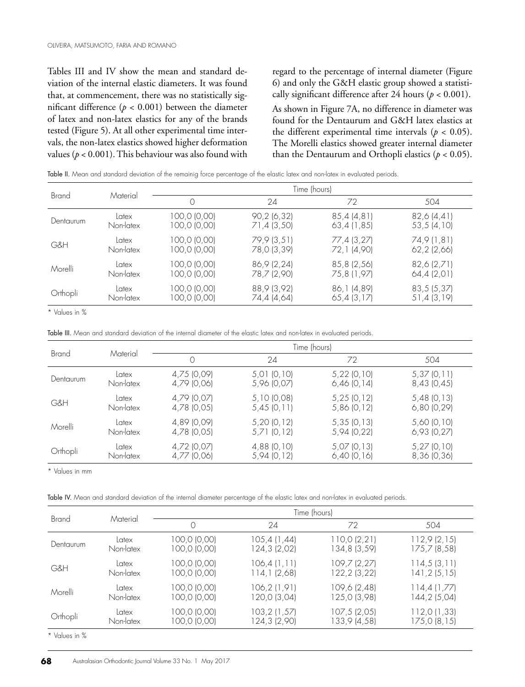Tables III and IV show the mean and standard deviation of the internal elastic diameters. It was found that, at commencement, there was no statistically significant difference ( $p < 0.001$ ) between the diameter of latex and non-latex elastics for any of the brands tested (Figure 5). At all other experimental time intervals, the non-latex elastics showed higher deformation values ( $p < 0.001$ ). This behaviour was also found with

regard to the percentage of internal diameter (Figure 6) and only the G&H elastic group showed a statistically significant difference after 24 hours ( $p < 0.001$ ).

As shown in Figure 7A, no difference in diameter was found for the Dentaurum and G&H latex elastics at the different experimental time intervals ( $p < 0.05$ ). The Morelli elastics showed greater internal diameter than the Dentaurum and Orthopli elastics  $(p < 0.05)$ .

| Table II. Mean and standard deviation of the remainig force percentage of the elastic latex and non-latex in evaluated periods. |  |  |  |
|---------------------------------------------------------------------------------------------------------------------------------|--|--|--|
|---------------------------------------------------------------------------------------------------------------------------------|--|--|--|

| <b>Brand</b> | Material  | Time (hours) |             |              |             |
|--------------|-----------|--------------|-------------|--------------|-------------|
|              |           |              | 24          | 72           | 504         |
| Dentaurum    | Latex     | 100,0 (0,00) | 90,2(6,32)  | 85,4 (4,81)  | 82,6 (4,41) |
|              | Non-latex | 100,0 (0,00) | 71,4 (3,50) | 63,4(1,85)   | 53,5(4,10)  |
| G&H          | Latex     | 100,0 (0,00) | 79,9 (3,51) | 77,4 (3,27)  | 74,9 (1,81) |
|              | Non-latex | 100,0 (0,00) | 78,0 (3,39) | 72,1 (4,90)  | 62,2(2,66)  |
| Morelli      | Latex     | 100,0 (0,00) | 86,9 (2,24) | 85,8 (2,56)  | 82,6 (2,71) |
|              | Non-latex | 100,0 (0,00) | 78,7 (2,90) | 75,8 (1,97)  | 64,4(2,01)  |
| Orthopli     | Latex     | 100,0 (0,00) | 88,9 (3,92) | 86, 1 (4,89) | 83,5 (5,37) |
|              | Non-latex | 100,0 (0,00) | 74,4 (4,64) | 65,4(3,17)   | 51,4 (3,19) |

\* Values in %

Table III. Mean and standard deviation of the internal diameter of the elastic latex and non-latex in evaluated periods.

| Brand     | Material  | Time (hours) |                   |               |                 |
|-----------|-----------|--------------|-------------------|---------------|-----------------|
|           |           |              | 24                | 72            | 504             |
| Dentaurum | Latex     | 4,75 (0,09)  | $5,01$ (0,10)     | $5,22$ (0,10) | 5,37(0,11)      |
|           | Non-latex | 4,79 (0,06)  | 5,96 (0,07)       | $6,46$ (0,14) | 8,43(0,45)      |
| G&H       | Latex     | 4,79 (0,07)  | 5,10(0,08)        | $5,25$ (0,12) | $5,48$ (0,13)   |
|           | Non-latex | 4,78 (0,05)  | 5,45(0,11)        | $5,86$ (0,12) | 6,80(0,29)      |
| Morelli   | Latex     | 4,89 (0,09)  | 5,20(0,12)        | 5,35(0,13)    | 5,60 (0,10)     |
|           | Non-latex | 4,78 (0,05)  | 5,71(0,12)        | 5,94 (0,22)   | $6,93$ $(0,27)$ |
| Orthopli  | Latex     | 4,72 (0,07)  | $(4,88)$ $(0,10)$ | $5,07$ (0,13) | $5,27$ (0,10)   |
|           | Non-latex | 4,77 (0,06)  | 5,94 (0,12)       | $6,40$ (0,16) | 8,36 (0,36)     |

\* Values in mm

Table IV. Mean and standard deviation of the internal diameter percentage of the elastic latex and non-latex in evaluated periods.

| <b>Brand</b>           | Material  | Time (hours) |               |              |              |
|------------------------|-----------|--------------|---------------|--------------|--------------|
|                        |           |              | 24            | 72           | 504          |
| Dentaurum              | Latex     | 100,0 (0,00) | 105,4(1,44)   | 110,0(2,21)  | 112,9(2,15)  |
|                        | Non-latex | 100,0 (0,00) | 124,3 (2,02)  | 134,8 (3,59) | 175,7 (8,58) |
| G&H                    | Latex     | 100,0 (0,00) | 106,4(1,11)   | 109,7 (2,27) | 114,5(3,11)  |
|                        | Non-latex | 100,0 (0,00) | 114,1 (2,68)  | 122,2 (3,22) | 141,2 (5,15) |
| Morelli                | Latex     | 100,0 (0,00) | 106,2 (1,91)  | 109,6 (2,48) | 114,4(1,77)  |
|                        | Non-latex | 100,0 (0,00) | 120,0 (3,04)  | 125,0 (3,98) | 144,2 (5,04) |
| Orthopli               | Latex     | 100,0 (0,00) | 103, 2(1, 57) | 107,5 (2,05) | 112,0 (1,33) |
|                        | Non-latex | 100,0 (0,00) | 124,3 (2,90)  | 133,9 (4,58) | 175,0(8,15)  |
| $+1$<br>$\cdot$ $\sim$ |           |              |               |              |              |

Values in %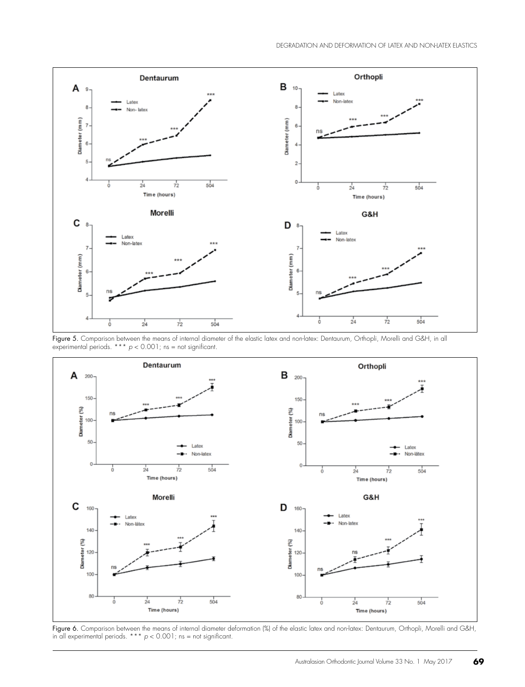

Figure 5. Comparison between the means of internal diameter of the elastic latex and non-latex: Dentaurum, Orthopli, Morelli and G&H, in all experimental periods. \*\*\* *p* < 0.001; ns = not significant.



Figure 6. Comparison between the means of internal diameter deformation (%) of the elastic latex and non-latex: Dentaurum, Orthopli, Morelli and G&H, in all experimental periods.  $*** p < 0.001$ ; ns = not significant.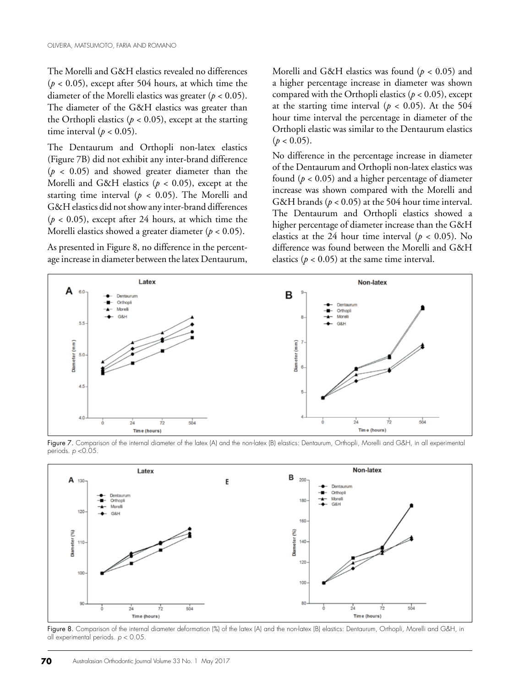The Morelli and G&H elastics revealed no differences  $(p < 0.05)$ , except after 504 hours, at which time the diameter of the Morelli elastics was greater (*p* < 0.05). The diameter of the G&H elastics was greater than the Orthopli elastics ( $p < 0.05$ ), except at the starting time interval ( $p < 0.05$ ).

The Dentaurum and Orthopli non-latex elastics (Figure 7B) did not exhibit any inter-brand difference  $(p < 0.05)$  and showed greater diameter than the Morelli and G&H elastics ( $p < 0.05$ ), except at the starting time interval ( $p < 0.05$ ). The Morelli and G&H elastics did not show any inter-brand differences  $(p < 0.05)$ , except after 24 hours, at which time the Morelli elastics showed a greater diameter ( $p < 0.05$ ).

As presented in Figure 8, no difference in the percentage increase in diameter between the latex Dentaurum,

Morelli and G&H elastics was found (*p* < 0.05) and a higher percentage increase in diameter was shown compared with the Orthopli elastics ( $p < 0.05$ ), except at the starting time interval ( $p < 0.05$ ). At the 504 hour time interval the percentage in diameter of the Orthopli elastic was similar to the Dentaurum elastics  $(p < 0.05)$ .

No difference in the percentage increase in diameter of the Dentaurum and Orthopli non-latex elastics was found  $(p < 0.05)$  and a higher percentage of diameter increase was shown compared with the Morelli and G&H brands ( $p < 0.05$ ) at the 504 hour time interval. The Dentaurum and Orthopli elastics showed a higher percentage of diameter increase than the G&H elastics at the 24 hour time interval ( $p < 0.05$ ). No difference was found between the Morelli and G&H elastics ( $p < 0.05$ ) at the same time interval.



Figure 7. Comparison of the internal diameter of the latex (A) and the non-latex (B) elastics: Dentaurum, Orthopli, Morelli and G&H, in all experimental periods. *p* <0.05.



Figure 8. Comparison of the internal diameter deformation (%) of the latex (A) and the non-latex (B) elastics: Dentaurum, Orthopli, Morelli and G&H, in all experimental periods. *p* < 0.05.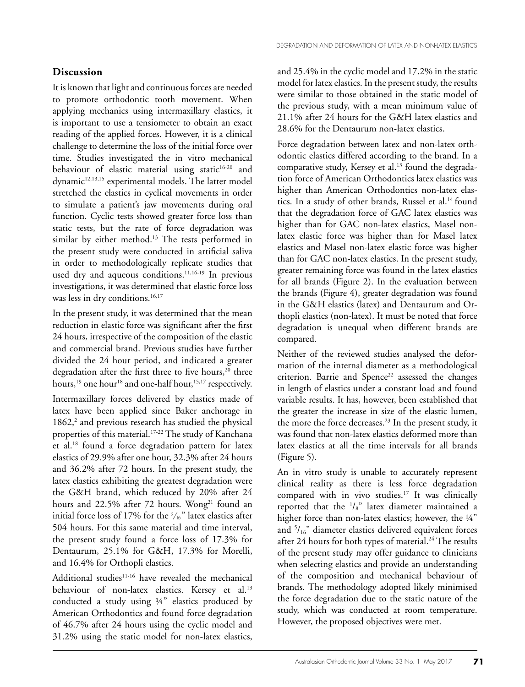## **Discussion**

It is known that light and continuous forces are needed to promote orthodontic tooth movement. When applying mechanics using intermaxillary elastics, it is important to use a tensiometer to obtain an exact reading of the applied forces. However, it is a clinical challenge to determine the loss of the initial force over time. Studies investigated the in vitro mechanical behaviour of elastic material using static<sup>16-20</sup> and dynamic<sup>12,13,15</sup> experimental models. The latter model stretched the elastics in cyclical movements in order to simulate a patient's jaw movements during oral function. Cyclic tests showed greater force loss than static tests, but the rate of force degradation was similar by either method.<sup>13</sup> The tests performed in the present study were conducted in artificial saliva in order to methodologically replicate studies that used dry and aqueous conditions.<sup>11,16-19</sup> In previous investigations, it was determined that elastic force loss was less in dry conditions.<sup>16,17</sup>

In the present study, it was determined that the mean reduction in elastic force was significant after the first 24 hours, irrespective of the composition of the elastic and commercial brand. Previous studies have further divided the 24 hour period, and indicated a greater degradation after the first three to five hours,<sup>20</sup> three hours,<sup>19</sup> one hour<sup>18</sup> and one-half hour,<sup>15,17</sup> respectively.

Intermaxillary forces delivered by elastics made of latex have been applied since Baker anchorage in 1862,<sup>2</sup> and previous research has studied the physical properties of this material.<sup>17-22</sup> The study of Kanchana et al.18 found a force degradation pattern for latex elastics of 29.9% after one hour, 32.3% after 24 hours and 36.2% after 72 hours. In the present study, the latex elastics exhibiting the greatest degradation were the G&H brand, which reduced by 20% after 24 hours and 22.5% after 72 hours. Wong<sup>21</sup> found an initial force loss of 17% for the  $\frac{3}{16}$ " latex elastics after 504 hours. For this same material and time interval, the present study found a force loss of 17.3% for Dentaurum, 25.1% for G&H, 17.3% for Morelli, and 16.4% for Orthopli elastics.

Additional studies $11-16$  have revealed the mechanical behaviour of non-latex elastics. Kersey et al.<sup>13</sup> conducted a study using ¼" elastics produced by American Orthodontics and found force degradation of 46.7% after 24 hours using the cyclic model and 31.2% using the static model for non-latex elastics,

and 25.4% in the cyclic model and 17.2% in the static model for latex elastics. In the present study, the results were similar to those obtained in the static model of the previous study, with a mean minimum value of 21.1% after 24 hours for the G&H latex elastics and 28.6% for the Dentaurum non-latex elastics.

Force degradation between latex and non-latex orthodontic elastics differed according to the brand. In a comparative study, Kersey et al.13 found the degradation force of American Orthodontics latex elastics was higher than American Orthodontics non-latex elastics. In a study of other brands, Russel et al.<sup>14</sup> found that the degradation force of GAC latex elastics was higher than for GAC non-latex elastics, Masel nonlatex elastic force was higher than for Masel latex elastics and Masel non-latex elastic force was higher than for GAC non-latex elastics. In the present study, greater remaining force was found in the latex elastics for all brands (Figure 2). In the evaluation between the brands (Figure 4), greater degradation was found in the G&H elastics (latex) and Dentaurum and Orthopli elastics (non-latex). It must be noted that force degradation is unequal when different brands are compared.

Neither of the reviewed studies analysed the deformation of the internal diameter as a methodological criterion. Barrie and  $Spence<sup>22</sup>$  assessed the changes in length of elastics under a constant load and found variable results. It has, however, been established that the greater the increase in size of the elastic lumen, the more the force decreases.<sup>23</sup> In the present study, it was found that non-latex elastics deformed more than latex elastics at all the time intervals for all brands (Figure 5).

An in vitro study is unable to accurately represent clinical reality as there is less force degradation compared with in vivo studies.17 It was clinically reported that the  $\frac{1}{s}$ " latex diameter maintained a higher force than non-latex elastics; however, the 1/4" and 5 /16" diameter elastics delivered equivalent forces after 24 hours for both types of material.<sup>24</sup> The results of the present study may offer guidance to clinicians when selecting elastics and provide an understanding of the composition and mechanical behaviour of brands. The methodology adopted likely minimised the force degradation due to the static nature of the study, which was conducted at room temperature. However, the proposed objectives were met.